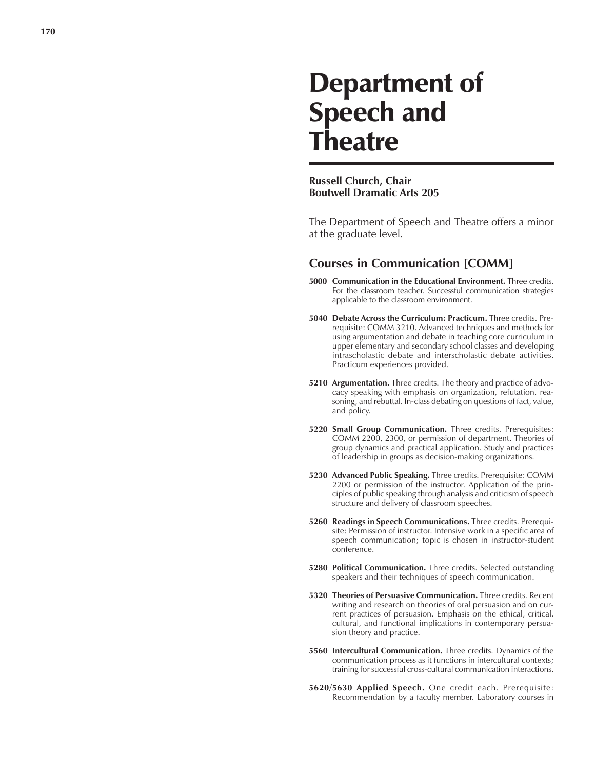# Department of Speech and **Theatre**

**Russell Church, Chair Boutwell Dramatic Arts 205**

The Department of Speech and Theatre offers a minor at the graduate level.

## **Courses in Communication [COMM]**

- **5000 Communication in the Educational Environment.** Three credits. For the classroom teacher. Successful communication strategies applicable to the classroom environment.
- **5040 Debate Across the Curriculum: Practicum.** Three credits. Prerequisite: COMM 3210. Advanced techniques and methods for using argumentation and debate in teaching core curriculum in upper elementary and secondary school classes and developing intrascholastic debate and interscholastic debate activities. Practicum experiences provided.
- **5210 Argumentation.** Three credits. The theory and practice of advocacy speaking with emphasis on organization, refutation, reasoning, and rebuttal. In-class debating on questions of fact, value, and policy.
- **5220 Small Group Communication.** Three credits. Prerequisites: COMM 2200, 2300, or permission of department. Theories of group dynamics and practical application. Study and practices of leadership in groups as decision-making organizations.
- **5230 Advanced Public Speaking.** Three credits. Prerequisite: COMM 2200 or permission of the instructor. Application of the principles of public speaking through analysis and criticism of speech structure and delivery of classroom speeches.
- **5260 Readings in Speech Communications.** Three credits. Prerequisite: Permission of instructor. Intensive work in a specific area of speech communication; topic is chosen in instructor-student conference.
- **5280 Political Communication.** Three credits. Selected outstanding speakers and their techniques of speech communication.
- **5320 Theories of Persuasive Communication.** Three credits. Recent writing and research on theories of oral persuasion and on current practices of persuasion. Emphasis on the ethical, critical, cultural, and functional implications in contemporary persuasion theory and practice.
- **5560 Intercultural Communication.** Three credits. Dynamics of the communication process as it functions in intercultural contexts; training for successful cross-cultural communication interactions.
- **5620/5630 Applied Speech.** One credit each. Prerequisite: Recommendation by a faculty member. Laboratory courses in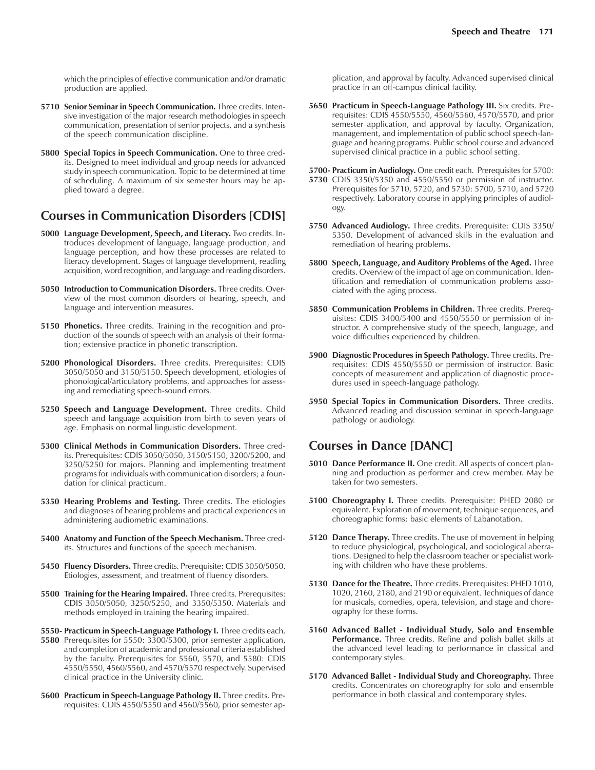which the principles of effective communication and/or dramatic production are applied.

- **5710 Senior Seminar in Speech Communication.** Three credits. Intensive investigation of the major research methodologies in speech communication, presentation of senior projects, and a synthesis of the speech communication discipline.
- **5800 Special Topics in Speech Communication.** One to three credits. Designed to meet individual and group needs for advanced study in speech communication. Topic to be determined at time of scheduling. A maximum of six semester hours may be applied toward a degree.

## **Courses in Communication Disorders [CDIS]**

- **5000 Language Development, Speech, and Literacy.** Two credits. Introduces development of language, language production, and language perception, and how these processes are related to literacy development. Stages of language development, reading acquisition, word recognition, and language and reading disorders.
- **5050 Introduction to Communication Disorders.** Three credits. Overview of the most common disorders of hearing, speech, and language and intervention measures.
- **5150 Phonetics.** Three credits. Training in the recognition and production of the sounds of speech with an analysis of their formation; extensive practice in phonetic transcription.
- **5200 Phonological Disorders.** Three credits. Prerequisites: CDIS 3050/5050 and 3150/5150. Speech development, etiologies of phonological/articulatory problems, and approaches for assessing and remediating speech-sound errors.
- **5250 Speech and Language Development.** Three credits. Child speech and language acquisition from birth to seven years of age. Emphasis on normal linguistic development.
- **5300 Clinical Methods in Communication Disorders.** Three credits. Prerequisites: CDIS 3050/5050, 3150/5150, 3200/5200, and 3250/5250 for majors. Planning and implementing treatment programs for individuals with communication disorders; a foundation for clinical practicum.
- **5350 Hearing Problems and Testing.** Three credits. The etiologies and diagnoses of hearing problems and practical experiences in administering audiometric examinations.
- **5400 Anatomy and Function of the Speech Mechanism.** Three credits. Structures and functions of the speech mechanism.
- **5450 Fluency Disorders.** Three credits. Prerequisite: CDIS 3050/5050. Etiologies, assessment, and treatment of fluency disorders.
- **5500 Training for the Hearing Impaired.** Three credits. Prerequisites: CDIS 3050/5050, 3250/5250, and 3350/5350. Materials and methods employed in training the hearing impaired.
- **5550- Practicum in Speech-Language Pathology I.** Three credits each.
- **5580** Prerequisites for 5550: 3300/5300, prior semester application, and completion of academic and professional criteria established by the faculty. Prerequisites for 5560, 5570, and 5580: CDIS 4550/5550, 4560/5560, and 4570/5570 respectively. Supervised clinical practice in the University clinic.
- **5600 Practicum in Speech-Language Pathology II.** Three credits. Prerequisites: CDIS 4550/5550 and 4560/5560, prior semester ap-

plication, and approval by faculty. Advanced supervised clinical practice in an off-campus clinical facility.

**5650 Practicum in Speech-Language Pathology III.** Six credits. Prerequisites: CDIS 4550/5550, 4560/5560, 4570/5570, and prior semester application, and approval by faculty. Organization, management, and implementation of public school speech-language and hearing programs. Public school course and advanced supervised clinical practice in a public school setting.

**5700- Practicum in Audiology.** One credit each. Prerequisites for 5700:

- **5730** CDIS 3350/5350 and 4550/5550 or permission of instructor. Prerequisites for 5710, 5720, and 5730: 5700, 5710, and 5720 respectively. Laboratory course in applying principles of audiology.
- **5750 Advanced Audiology.** Three credits. Prerequisite: CDIS 3350/ 5350. Development of advanced skills in the evaluation and remediation of hearing problems.
- **5800 Speech, Language, and Auditory Problems of the Aged.** Three credits. Overview of the impact of age on communication. Identification and remediation of communication problems associated with the aging process.
- **5850 Communication Problems in Children.** Three credits. Prerequisites: CDIS 3400/5400 and 4550/5550 or permission of instructor. A comprehensive study of the speech, language, and voice difficulties experienced by children.
- **5900 Diagnostic Procedures in Speech Pathology.** Three credits. Prerequisites: CDIS 4550/5550 or permission of instructor. Basic concepts of measurement and application of diagnostic procedures used in speech-language pathology.
- **5950 Special Topics in Communication Disorders.** Three credits. Advanced reading and discussion seminar in speech-language pathology or audiology.

#### **Courses in Dance [DANC]**

- **5010 Dance Performance II.** One credit. All aspects of concert planning and production as performer and crew member. May be taken for two semesters.
- **5100 Choreography I.** Three credits. Prerequisite: PHED 2080 or equivalent. Exploration of movement, technique sequences, and choreographic forms; basic elements of Labanotation.
- **5120 Dance Therapy.** Three credits. The use of movement in helping to reduce physiological, psychological, and sociological aberrations. Designed to help the classroom teacher or specialist working with children who have these problems.
- **5130 Dance for the Theatre.** Three credits. Prerequisites: PHED 1010, 1020, 2160, 2180, and 2190 or equivalent. Techniques of dance for musicals, comedies, opera, television, and stage and choreography for these forms.
- **5160 Advanced Ballet Individual Study, Solo and Ensemble Performance.** Three credits. Refine and polish ballet skills at the advanced level leading to performance in classical and contemporary styles.
- **5170 Advanced Ballet Individual Study and Choreography.** Three credits. Concentrates on choreography for solo and ensemble performance in both classical and contemporary styles.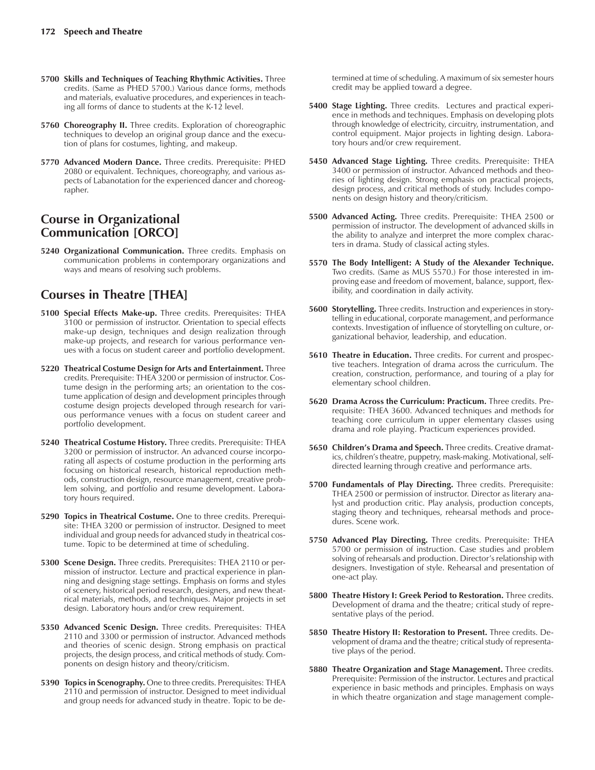- **5700 Skills and Techniques of Teaching Rhythmic Activities.** Three credits. (Same as PHED 5700.) Various dance forms, methods and materials, evaluative procedures, and experiences in teaching all forms of dance to students at the K-12 level.
- **5760 Choreography II.** Three credits. Exploration of choreographic techniques to develop an original group dance and the execution of plans for costumes, lighting, and makeup.
- **5770 Advanced Modern Dance.** Three credits. Prerequisite: PHED 2080 or equivalent. Techniques, choreography, and various aspects of Labanotation for the experienced dancer and choreographer.

## **Course in Organizational Communication [ORCO]**

**5240 Organizational Communication.** Three credits. Emphasis on communication problems in contemporary organizations and ways and means of resolving such problems.

## **Courses in Theatre [THEA]**

- **5100 Special Effects Make-up.** Three credits. Prerequisites: THEA 3100 or permission of instructor. Orientation to special effects make-up design, techniques and design realization through make-up projects, and research for various performance venues with a focus on student career and portfolio development.
- **5220 Theatrical Costume Design for Arts and Entertainment.** Three credits. Prerequisite: THEA 3200 or permission of instructor. Costume design in the performing arts; an orientation to the costume application of design and development principles through costume design projects developed through research for various performance venues with a focus on student career and portfolio development.
- **5240 Theatrical Costume History.** Three credits. Prerequisite: THEA 3200 or permission of instructor. An advanced course incorporating all aspects of costume production in the performing arts focusing on historical research, historical reproduction methods, construction design, resource management, creative problem solving, and portfolio and resume development. Laboratory hours required.
- **5290 Topics in Theatrical Costume.** One to three credits. Prerequisite: THEA 3200 or permission of instructor. Designed to meet individual and group needs for advanced study in theatrical costume. Topic to be determined at time of scheduling.
- **5300 Scene Design.** Three credits. Prerequisites: THEA 2110 or permission of instructor. Lecture and practical experience in planning and designing stage settings. Emphasis on forms and styles of scenery, historical period research, designers, and new theatrical materials, methods, and techniques. Major projects in set design. Laboratory hours and/or crew requirement.
- **5350 Advanced Scenic Design.** Three credits. Prerequisites: THEA 2110 and 3300 or permission of instructor. Advanced methods and theories of scenic design. Strong emphasis on practical projects, the design process, and critical methods of study. Components on design history and theory/criticism.
- **5390 Topics in Scenography.** One to three credits. Prerequisites: THEA 2110 and permission of instructor. Designed to meet individual and group needs for advanced study in theatre. Topic to be de-

termined at time of scheduling. A maximum of six semester hours credit may be applied toward a degree.

- **5400 Stage Lighting.** Three credits. Lectures and practical experience in methods and techniques. Emphasis on developing plots through knowledge of electricity, circuitry, instrumentation, and control equipment. Major projects in lighting design. Laboratory hours and/or crew requirement.
- **5450 Advanced Stage Lighting.** Three credits. Prerequisite: THEA 3400 or permission of instructor. Advanced methods and theories of lighting design. Strong emphasis on practical projects, design process, and critical methods of study. Includes components on design history and theory/criticism.
- **5500 Advanced Acting.** Three credits. Prerequisite: THEA 2500 or permission of instructor. The development of advanced skills in the ability to analyze and interpret the more complex characters in drama. Study of classical acting styles.
- **5570 The Body Intelligent: A Study of the Alexander Technique.** Two credits. (Same as MUS 5570.) For those interested in improving ease and freedom of movement, balance, support, flexibility, and coordination in daily activity.
- **5600 Storytelling.** Three credits. Instruction and experiences in storytelling in educational, corporate management, and performance contexts. Investigation of influence of storytelling on culture, organizational behavior, leadership, and education.
- **5610 Theatre in Education.** Three credits. For current and prospective teachers. Integration of drama across the curriculum. The creation, construction, performance, and touring of a play for elementary school children.
- **5620 Drama Across the Curriculum: Practicum.** Three credits. Prerequisite: THEA 3600. Advanced techniques and methods for teaching core curriculum in upper elementary classes using drama and role playing. Practicum experiences provided.
- 5650 Children's Drama and Speech. Three credits. Creative dramatics, children's theatre, puppetry, mask-making. Motivational, selfdirected learning through creative and performance arts.
- **5700 Fundamentals of Play Directing.** Three credits. Prerequisite: THEA 2500 or permission of instructor. Director as literary analyst and production critic. Play analysis, production concepts, staging theory and techniques, rehearsal methods and procedures. Scene work.
- **5750 Advanced Play Directing.** Three credits. Prerequisite: THEA 5700 or permission of instruction. Case studies and problem solving of rehearsals and production. Director's relationship with designers. Investigation of style. Rehearsal and presentation of one-act play.
- **5800 Theatre History I: Greek Period to Restoration.** Three credits. Development of drama and the theatre; critical study of representative plays of the period.
- **5850 Theatre History II: Restoration to Present.** Three credits. Development of drama and the theatre; critical study of representative plays of the period.
- **5880 Theatre Organization and Stage Management.** Three credits. Prerequisite: Permission of the instructor. Lectures and practical experience in basic methods and principles. Emphasis on ways in which theatre organization and stage management comple-